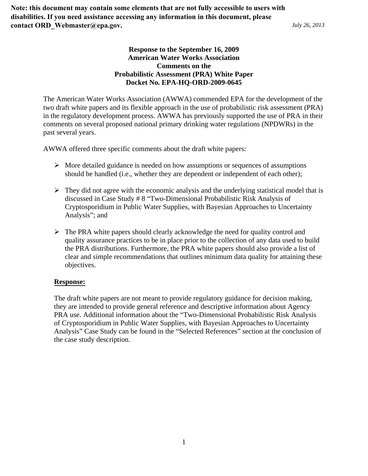**Note: this document may contain some elements that are not fully accessible to users with disabilities. If you need assistance accessing any information in this document, please contact ORD\_Webmaster@epa.gov.**

*July 26, 2013* 

# **Response to the September 16, 2009 American Water Works Association Comments on the Probabilistic Assessment (PRA) White Paper Docket No. EPA-HQ-ORD-2009-0645**

The American Water Works Association (AWWA) commended EPA for the development of the two draft white papers and its flexible approach in the use of probabilistic risk assessment (PRA) in the regulatory development process. AWWA has previously supported the use of PRA in their comments on several proposed national primary drinking water regulations (NPDWRs) in the past several years.

AWWA offered three specific comments about the draft white papers:

- $\triangleright$  More detailed guidance is needed on how assumptions or sequences of assumptions should be handled (i.e., whether they are dependent or independent of each other);
- $\triangleright$  They did not agree with the economic analysis and the underlying statistical model that is discussed in Case Study # 8 "Two-Dimensional Probabilistic Risk Analysis of Cryptosporidium in Public Water Supplies, with Bayesian Approaches to Uncertainty Analysis"; and
- $\triangleright$  The PRA white papers should clearly acknowledge the need for quality control and quality assurance practices to be in place prior to the collection of any data used to build the PRA distributions. Furthermore, the PRA white papers should also provide a list of clear and simple recommendations that outlines minimum data quality for attaining these objectives.

### **Response:**

The draft white papers are not meant to provide regulatory guidance for decision making, they are intended to provide general reference and descriptive information about Agency PRA use. Additional information about the "Two-Dimensional Probabilistic Risk Analysis of Cryptosporidium in Public Water Supplies, with Bayesian Approaches to Uncertainty Analysis" Case Study can be found in the "Selected References" section at the conclusion of the case study description.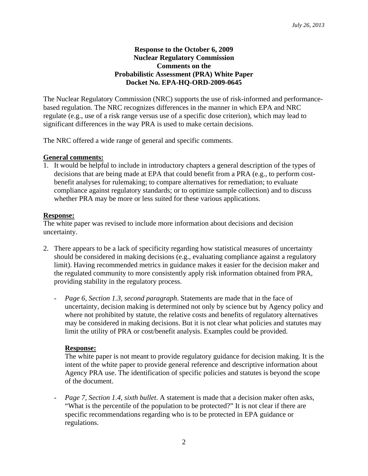### **Response to the October 6, 2009 Nuclear Regulatory Commission Comments on the Probabilistic Assessment (PRA) White Paper Docket No. EPA-HQ-ORD-2009-0645**

The Nuclear Regulatory Commission (NRC) supports the use of risk-informed and performancebased regulation. The NRC recognizes differences in the manner in which EPA and NRC regulate (e.g., use of a risk range versus use of a specific dose criterion), which may lead to significant differences in the way PRA is used to make certain decisions.

The NRC offered a wide range of general and specific comments.

### **General comments:**

1. It would be helpful to include in introductory chapters a general description of the types of decisions that are being made at EPA that could benefit from a PRA (e.g., to perform costbenefit analyses for rulemaking; to compare alternatives for remediation; to evaluate compliance against regulatory standards; or to optimize sample collection) and to discuss whether PRA may be more or less suited for these various applications.

### **Response:**

The white paper was revised to include more information about decisions and decision uncertainty.

- 2. There appears to be a lack of specificity regarding how statistical measures of uncertainty should be considered in making decisions (e.g., evaluating compliance against a regulatory limit). Having recommended metrics in guidance makes it easier for the decision maker and the regulated community to more consistently apply risk information obtained from PRA, providing stability in the regulatory process.
	- *Page 6, Section 1.3, second paragraph.* Statements are made that in the face of uncertainty, decision making is determined not only by science but by Agency policy and where not prohibited by statute, the relative costs and benefits of regulatory alternatives may be considered in making decisions. But it is not clear what policies and statutes may limit the utility of PRA or cost/benefit analysis. Examples could be provided.

### **Response:**

The white paper is not meant to provide regulatory guidance for decision making. It is the intent of the white paper to provide general reference and descriptive information about Agency PRA use. The identification of specific policies and statutes is beyond the scope of the document.

- *Page 7, Section 1.4, sixth bullet*. A statement is made that a decision maker often asks, "What is the percentile of the population to be protected?" It is not clear if there are specific recommendations regarding who is to be protected in EPA guidance or regulations.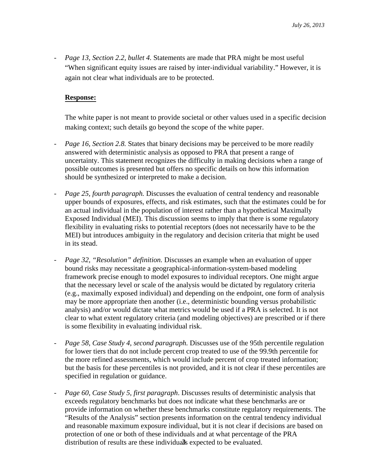*Page 13, Section 2.2, bullet 4.* Statements are made that PRA might be most useful "When significant equity issues are raised by inter-individual variability." However, it is again not clear what individuals are to be protected.

# **Response:**

The white paper is not meant to provide societal or other values used in a specific decision making context; such details go beyond the scope of the white paper.

- *Page 16, Section 2.8.* States that binary decisions may be perceived to be more readily answered with deterministic analysis as opposed to PRA that present a range of uncertainty. This statement recognizes the difficulty in making decisions when a range of possible outcomes is presented but offers no specific details on how this information should be synthesized or interpreted to make a decision.
- *Page 25, fourth paragraph.* Discusses the evaluation of central tendency and reasonable upper bounds of exposures, effects, and risk estimates, such that the estimates could be for an actual individual in the population of interest rather than a hypothetical Maximally Exposed Individual (MEI). This discussion seems to imply that there is some regulatory flexibility in evaluating risks to potential receptors (does not necessarily have to be the MEI) but introduces ambiguity in the regulatory and decision criteria that might be used in its stead.
- *Page 32, "Resolution" definition.* Discusses an example when an evaluation of upper bound risks may necessitate a geographical-information-system-based modeling framework precise enough to model exposures to individual receptors. One might argue that the necessary level or scale of the analysis would be dictated by regulatory criteria (e.g., maximally exposed individual) and depending on the endpoint, one form of analysis may be more appropriate then another (i.e., deterministic bounding versus probabilistic analysis) and/or would dictate what metrics would be used if a PRA is selected. It is not clear to what extent regulatory criteria (and modeling objectives) are prescribed or if there is some flexibility in evaluating individual risk.
- *Page 58, Case Study 4, second paragraph.* Discusses use of the 95th percentile regulation for lower tiers that do not include percent crop treated to use of the 99.9th percentile for the more refined assessments, which would include percent of crop treated information; but the basis for these percentiles is not provided, and it is not clear if these percentiles are specified in regulation or guidance.
- *Page 60, Case Study 5, first paragraph*. Discusses results of deterministic analysis that exceeds regulatory benchmarks but does not indicate what these benchmarks are or provide information on whether these benchmarks constitute regulatory requirements. The "Results of the Analysis" section presents information on the central tendency individual and reasonable maximum exposure individual, but it is not clear if decisions are based on protection of one or both of these individuals and at what percentage of the PRA distribution of results are these individuals expected to be evaluated.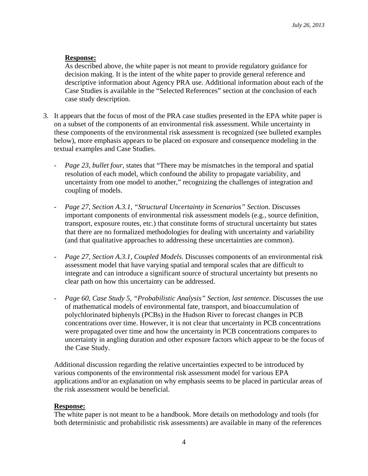As described above, the white paper is not meant to provide regulatory guidance for decision making. It is the intent of the white paper to provide general reference and descriptive information about Agency PRA use. Additional information about each of the Case Studies is available in the "Selected References" section at the conclusion of each case study description.

- 3. It appears that the focus of most of the PRA case studies presented in the EPA white paper is on a subset of the components of an environmental risk assessment. While uncertainty in these components of the environmental risk assessment is recognized (see bulleted examples below), more emphasis appears to be placed on exposure and consequence modeling in the textual examples and Case Studies.
	- *Page 23, bullet four, states that "There may be mismatches in the temporal and spatial* resolution of each model, which confound the ability to propagate variability, and uncertainty from one model to another," recognizing the challenges of integration and coupling of models.
	- *Page 27, Section A.3.1*, *"Structural Uncertainty in Scenarios" Section*. Discusses important components of environmental risk assessment models (e.g., source definition, transport, exposure routes, etc.) that constitute forms of structural uncertainty but states that there are no formalized methodologies for dealing with uncertainty and variability (and that qualitative approaches to addressing these uncertainties are common).
	- *Page 27, Section A.3.1, Coupled Models.* Discusses components of an environmental risk assessment model that have varying spatial and temporal scales that are difficult to integrate and can introduce a significant source of structural uncertainty but presents no clear path on how this uncertainty can be addressed.
	- *Page 60, Case Study 5, "Probabilistic Analysis" Section, last sentence.* Discusses the use of mathematical models of environmental fate, transport, and bioaccumulation of polychlorinated biphenyls (PCBs) in the Hudson River to forecast changes in PCB concentrations over time. However, it is not clear that uncertainty in PCB concentrations were propagated over time and how the uncertainty in PCB concentrations compares to uncertainty in angling duration and other exposure factors which appear to be the focus of the Case Study.

Additional discussion regarding the relative uncertainties expected to be introduced by various components of the environmental risk assessment model for various EPA applications and/or an explanation on why emphasis seems to be placed in particular areas of the risk assessment would be beneficial.

# **Response:**

The white paper is not meant to be a handbook. More details on methodology and tools (for both deterministic and probabilistic risk assessments) are available in many of the references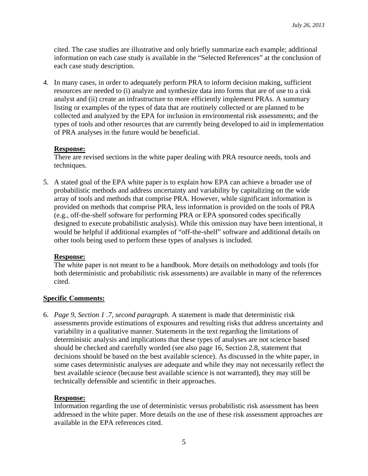cited. The case studies are illustrative and only briefly summarize each example; additional information on each case study is available in the "Selected References" at the conclusion of each case study description.

4. In many cases, in order to adequately perform PRA to inform decision making, sufficient resources are needed to (i) analyze and synthesize data into forms that are of use to a risk analyst and (ii) create an infrastructure to more efficiently implement PRAs. A summary listing or examples of the types of data that are routinely collected or are planned to be collected and analyzed by the EPA for inclusion in environmental risk assessments; and the types of tools and other resources that are currently being developed to aid in implementation of PRA analyses in the future would be beneficial.

### **Response:**

There are revised sections in the white paper dealing with PRA resource needs, tools and techniques.

5. A stated goal of the EPA white paper is to explain how EPA can achieve a broader use of probabilistic methods and address uncertainty and variability by capitalizing on the wide array of tools and methods that comprise PRA. However, while significant information is provided on methods that comprise PRA, less information is provided on the tools of PRA (e.g., off-the-shelf software for performing PRA or EPA sponsored codes specifically designed to execute probabilistic analysis). While this omission may have been intentional, it would be helpful if additional examples of "off-the-shelf" software and additional details on other tools being used to perform these types of analyses is included.

### **Response:**

The white paper is not meant to be a handbook. More details on methodology and tools (for both deterministic and probabilistic risk assessments) are available in many of the references cited.

### **Specific Comments:**

6. *Page 9, Section 1 .7, second paragraph.* A statement is made that deterministic risk assessments provide estimations of exposures and resulting risks that address uncertainty and variability in a qualitative manner. Statements in the text regarding the limitations of deterministic analysis and implications that these types of analyses are not science based should be checked and carefully worded (see also page 16, Section 2.8, statement that decisions should be based on the best available science). As discussed in the white paper, in some cases deterministic analyses are adequate and while they may not necessarily reflect the best available science (because best available science is not warranted), they may still be technically defensible and scientific in their approaches.

#### **Response:**

Information regarding the use of deterministic versus probabilistic risk assessment has been addressed in the white paper. More details on the use of these risk assessment approaches are available in the EPA references cited.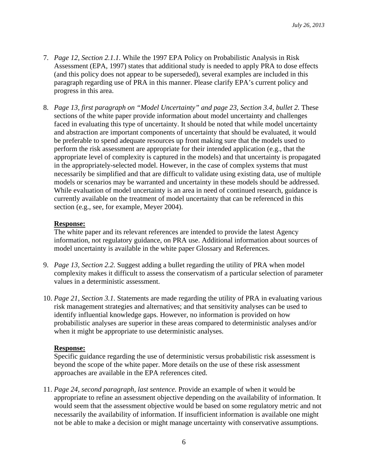- 7. *Page 12, Section 2.1.1.* While the 1997 EPA Policy on Probabilistic Analysis in Risk Assessment (EPA, 1997) states that additional study is needed to apply PRA to dose effects (and this policy does not appear to be superseded), several examples are included in this paragraph regarding use of PRA in this manner. Please clarify EPA's current policy and progress in this area.
- 8. *Page 13, first paragraph on "Model Uncertainty" and page 23, Section 3.4, bullet 2.* These sections of the white paper provide information about model uncertainty and challenges faced in evaluating this type of uncertainty. It should be noted that while model uncertainty and abstraction are important components of uncertainty that should be evaluated, it would be preferable to spend adequate resources up front making sure that the models used to perform the risk assessment are appropriate for their intended application (e.g., that the appropriate level of complexity is captured in the models) and that uncertainty is propagated in the appropriately-selected model. However, in the case of complex systems that must necessarily be simplified and that are difficult to validate using existing data, use of multiple models or scenarios may be warranted and uncertainty in these models should be addressed. While evaluation of model uncertainty is an area in need of continued research, guidance is currently available on the treatment of model uncertainty that can be referenced in this section (e.g., see, for example, Meyer 2004).

The white paper and its relevant references are intended to provide the latest Agency information, not regulatory guidance, on PRA use. Additional information about sources of model uncertainty is available in the white paper Glossary and References.

- 9. *Page 13, Section 2.2.* Suggest adding a bullet regarding the utility of PRA when model complexity makes it difficult to assess the conservatism of a particular selection of parameter values in a deterministic assessment.
- 10. *Page 21, Section 3.1.* Statements are made regarding the utility of PRA in evaluating various risk management strategies and alternatives; and that sensitivity analyses can be used to identify influential knowledge gaps. However, no information is provided on how probabilistic analyses are superior in these areas compared to deterministic analyses and/or when it might be appropriate to use deterministic analyses.

### **Response:**

Specific guidance regarding the use of deterministic versus probabilistic risk assessment is beyond the scope of the white paper. More details on the use of these risk assessment approaches are available in the EPA references cited.

11. *Page 24, second paragraph, last sentence.* Provide an example of when it would be appropriate to refine an assessment objective depending on the availability of information. It would seem that the assessment objective would be based on some regulatory metric and not necessarily the availability of information. If insufficient information is available one might not be able to make a decision or might manage uncertainty with conservative assumptions.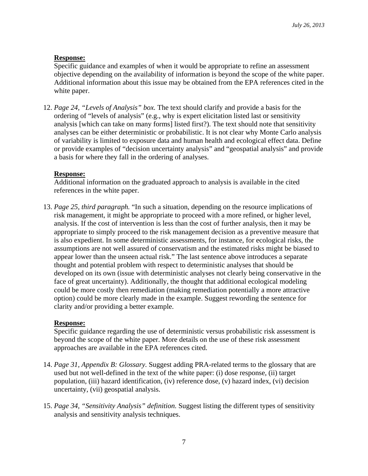Specific guidance and examples of when it would be appropriate to refine an assessment objective depending on the availability of information is beyond the scope of the white paper. Additional information about this issue may be obtained from the EPA references cited in the white paper.

12. *Page 24, "Levels of Analysis" box.* The text should clarify and provide a basis for the ordering of "levels of analysis" (e.g., why is expert elicitation listed last or sensitivity analysis [which can take on many forms] listed first?). The text should note that sensitivity analyses can be either deterministic or probabilistic. It is not clear why Monte Carlo analysis of variability is limited to exposure data and human health and ecological effect data. Define or provide examples of "decision uncertainty analysis" and "geospatial analysis" and provide a basis for where they fall in the ordering of analyses.

# **Response:**

Additional information on the graduated approach to analysis is available in the cited references in the white paper.

13. *Page 25, third paragraph.* "In such a situation, depending on the resource implications of risk management, it might be appropriate to proceed with a more refined, or higher level, analysis. If the cost of intervention is less than the cost of further analysis, then it may be appropriate to simply proceed to the risk management decision as a preventive measure that is also expedient. In some deterministic assessments, for instance, for ecological risks, the assumptions are not well assured of conservatism and the estimated risks might be biased to appear lower than the unseen actual risk." The last sentence above introduces a separate thought and potential problem with respect to deterministic analyses that should be developed on its own (issue with deterministic analyses not clearly being conservative in the face of great uncertainty). Additionally, the thought that additional ecological modeling could be more costly then remediation (making remediation potentially a more attractive option) could be more clearly made in the example. Suggest rewording the sentence for clarity and/or providing a better example.

# **Response:**

Specific guidance regarding the use of deterministic versus probabilistic risk assessment is beyond the scope of the white paper. More details on the use of these risk assessment approaches are available in the EPA references cited.

- 14. *Page 31, Appendix B: Glossary.* Suggest adding PRA-related terms to the glossary that are used but not well-defined in the text of the white paper: (i) dose response, (ii) target population, (iii) hazard identification, (iv) reference dose, (v) hazard index, (vi) decision uncertainty, (vii) geospatial analysis.
- 15. *Page 34, "Sensitivity Analysis" definition.* Suggest listing the different types of sensitivity analysis and sensitivity analysis techniques.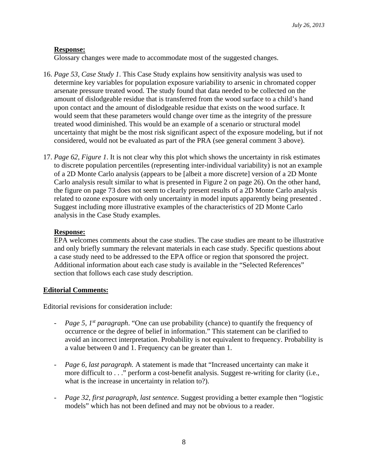Glossary changes were made to accommodate most of the suggested changes.

- 16. *Page 53, Case Study 1*. This Case Study explains how sensitivity analysis was used to determine key variables for population exposure variability to arsenic in chromated copper arsenate pressure treated wood. The study found that data needed to be collected on the amount of dislodgeable residue that is transferred from the wood surface to a child's hand upon contact and the amount of dislodgeable residue that exists on the wood surface. It would seem that these parameters would change over time as the integrity of the pressure treated wood diminished. This would be an example of a scenario or structural model uncertainty that might be the most risk significant aspect of the exposure modeling, but if not considered, would not be evaluated as part of the PRA (see general comment 3 above).
- 17. *Page 62, Figure 1*. It is not clear why this plot which shows the uncertainty in risk estimates to discrete population percentiles (representing inter-individual variability) is not an example of a 2D Monte Carlo analysis (appears to be [albeit a more discrete] version of a 2D Monte Carlo analysis result similar to what is presented in Figure 2 on page 26). On the other hand, the figure on page 73 does not seem to clearly present results of a 2D Monte Carlo analysis related to ozone exposure with only uncertainty in model inputs apparently being presented . Suggest including more illustrative examples of the characteristics of 2D Monte Carlo analysis in the Case Study examples.

### **Response:**

EPA welcomes comments about the case studies. The case studies are meant to be illustrative and only briefly summary the relevant materials in each case study. Specific questions about a case study need to be addressed to the EPA office or region that sponsored the project. Additional information about each case study is available in the "Selected References" section that follows each case study description.

### **Editorial Comments:**

Editorial revisions for consideration include:

- *Page 5, 1st paragraph.* "One can use probability (chance) to quantify the frequency of occurrence or the degree of belief in information." This statement can be clarified to avoid an incorrect interpretation. Probability is not equivalent to frequency. Probability is a value between 0 and 1. Frequency can be greater than 1.
- *Page 6, last paragraph.* A statement is made that "Increased uncertainty can make it more difficult to . . ." perform a cost-benefit analysis. Suggest re-writing for clarity (i.e., what is the increase in uncertainty in relation to?).
- *Page 32, first paragraph, last sentence.* Suggest providing a better example then "logistic models" which has not been defined and may not be obvious to a reader.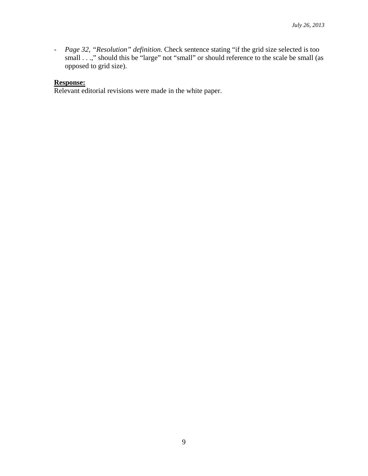- *Page 32, "Resolution" definition.* Check sentence stating "if the grid size selected is too small . . .," should this be "large" not "small" or should reference to the scale be small (as opposed to grid size).

## **Response:**

Relevant editorial revisions were made in the white paper.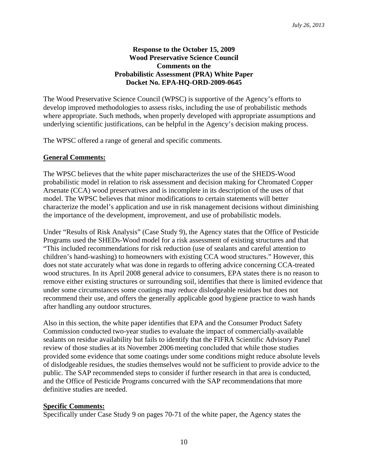# **Response to the October 15, 2009 Wood Preservative Science Council Comments on the Probabilistic Assessment (PRA) White Paper Docket No. EPA-HQ-ORD-2009-0645**

The Wood Preservative Science Council (WPSC) is supportive of the Agency's efforts to develop improved methodologies to assess risks, including the use of probabilistic methods where appropriate. Such methods, when properly developed with appropriate assumptions and underlying scientific justifications, can be helpful in the Agency's decision making process.

The WPSC offered a range of general and specific comments.

### **General Comments:**

The WPSC believes that the white paper mischaracterizes the use of the SHEDS-Wood probabilistic model in relation to risk assessment and decision making for Chromated Copper Arsenate (CCA) wood preservatives and is incomplete in its description of the uses of that model. The WPSC believes that minor modifications to certain statements will better characterize the model's application and use in risk management decisions without diminishing the importance of the development, improvement, and use of probabilistic models.

Under "Results of Risk Analysis" (Case Study 9), the Agency states that the Office of Pesticide Programs used the SHEDs-Wood model for a risk assessment of existing structures and that "This included recommendations for risk reduction (use of sealants and careful attention to children's hand-washing) to homeowners with existing CCA wood structures." However, this does not state accurately what was done in regards to offering advice concerning CCA-treated wood structures. In its April 2008 general advice to consumers, EPA states there is no reason to remove either existing structures or surrounding soil, identifies that there is limited evidence that under some circumstances some coatings may reduce dislodgeable residues but does not recommend their use, and offers the generally applicable good hygiene practice to wash hands after handling any outdoor structures.

Also in this section, the white paper identifies that EPA and the Consumer Product Safety Commission conducted two-year studies to evaluate the impact of commercially-available sealants on residue availability but fails to identify that the FIFRA Scientific Advisory Panel review of those studies at its November 2006 meeting concluded that while those studies provided some evidence that some coatings under some conditions might reduce absolute levels of dislodgeable residues, the studies themselves would not be sufficient to provide advice to the public. The SAP recommended steps to consider if further research in that area is conducted, and the Office of Pesticide Programs concurred with the SAP recommendations that more definitive studies are needed.

### **Specific Comments:**

Specifically under Case Study 9 on pages 70-71 of the white paper, the Agency states the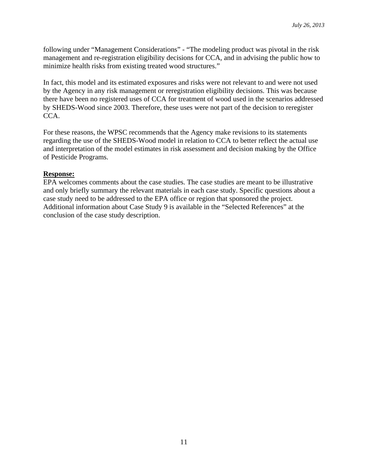following under "Management Considerations" - "The modeling product was pivotal in the risk management and re-registration eligibility decisions for CCA, and in advising the public how to minimize health risks from existing treated wood structures."

In fact, this model and its estimated exposures and risks were not relevant to and were not used by the Agency in any risk management or reregistration eligibility decisions. This was because there have been no registered uses of CCA for treatment of wood used in the scenarios addressed by SHEDS-Wood since 2003. Therefore, these uses were not part of the decision to reregister CCA.

For these reasons, the WPSC recommends that the Agency make revisions to its statements regarding the use of the SHEDS-Wood model in relation to CCA to better reflect the actual use and interpretation of the model estimates in risk assessment and decision making by the Office of Pesticide Programs.

### **Response:**

EPA welcomes comments about the case studies. The case studies are meant to be illustrative and only briefly summary the relevant materials in each case study. Specific questions about a case study need to be addressed to the EPA office or region that sponsored the project. Additional information about Case Study 9 is available in the "Selected References" at the conclusion of the case study description.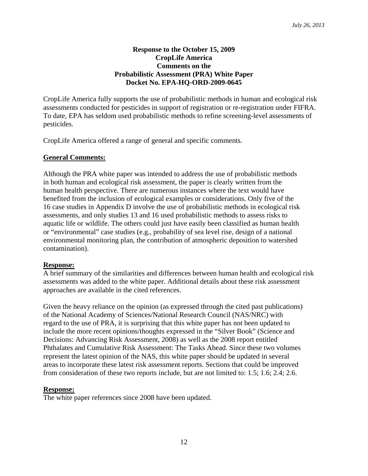## **Response to the October 15, 2009 CropLife America Comments on the Probabilistic Assessment (PRA) White Paper Docket No. EPA-HQ-ORD-2009-0645**

CropLife America fully supports the use of probabilistic methods in human and ecological risk assessments conducted for pesticides in support of registration or re-registration under FIFRA. To date, EPA has seldom used probabilistic methods to refine screening-level assessments of pesticides.

CropLife America offered a range of general and specific comments.

### **General Comments:**

Although the PRA white paper was intended to address the use of probabilistic methods in both human and ecological risk assessment, the paper is clearly written from the human health perspective. There are numerous instances where the text would have benefited from the inclusion of ecological examples or considerations. Only five of the 16 case studies in Appendix D involve the use of probabilistic methods in ecological risk assessments, and only studies 13 and 16 used probabilistic methods to assess risks to aquatic life or wildlife. The others could just have easily been classified as human health or "environmental" case studies (e.g., probability of sea level rise, design of a national environmental monitoring plan, the contribution of atmospheric deposition to watershed contamination).

### **Response:**

A brief summary of the similarities and differences between human health and ecological risk assessments was added to the white paper. Additional details about these risk assessment approaches are available in the cited references.

Given the heavy reliance on the opinion (as expressed through the cited past publications) of the National Academy of Sciences/National Research Council (NAS/NRC) with regard to the use of PRA, it is surprising that this white paper has not been updated to include the more recent opinions/thoughts expressed in the "Silver Book" (Science and Decisions: Advancing Risk Assessment, 2008) as well as the 2008 report entitled Phthalates and Cumulative Risk Assessment: The Tasks Ahead. Since these two volumes represent the latest opinion of the NAS, this white paper should be updated in several areas to incorporate these latest risk assessment reports. Sections that could be improved from consideration of these two reports include, but are not limited to: 1.5; 1.6; 2.4; 2.6.

# **Response:**

The white paper references since 2008 have been updated.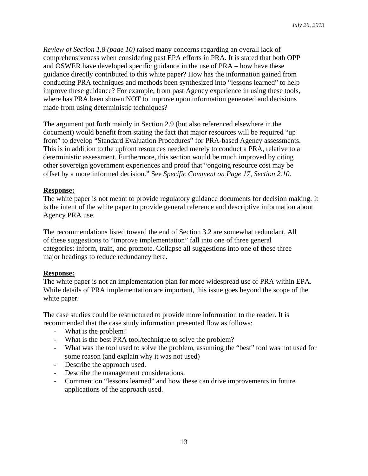*Review of Section 1.8 (page 10)* raised many concerns regarding an overall lack of comprehensiveness when considering past EPA efforts in PRA. It is stated that both OPP and OSWER have developed specific guidance in the use of PRA – how have these guidance directly contributed to this white paper? How has the information gained from conducting PRA techniques and methods been synthesized into "lessons learned" to help improve these guidance? For example, from past Agency experience in using these tools, where has PRA been shown NOT to improve upon information generated and decisions made from using deterministic techniques?

The argument put forth mainly in Section 2.9 (but also referenced elsewhere in the document) would benefit from stating the fact that major resources will be required "up front" to develop "Standard Evaluation Procedures" for PRA-based Agency assessments. This is in addition to the upfront resources needed merely to conduct a PRA, relative to a deterministic assessment. Furthermore, this section would be much improved by citing other sovereign government experiences and proof that "ongoing resource cost may be offset by a more informed decision." See *Specific Comment on Page 17, Section 2.10*.

### **Response:**

The white paper is not meant to provide regulatory guidance documents for decision making. It is the intent of the white paper to provide general reference and descriptive information about Agency PRA use.

The recommendations listed toward the end of Section 3.2 are somewhat redundant. All of these suggestions to "improve implementation" fall into one of three general categories: inform, train, and promote. Collapse all suggestions into one of these three major headings to reduce redundancy here.

### **Response:**

The white paper is not an implementation plan for more widespread use of PRA within EPA. While details of PRA implementation are important, this issue goes beyond the scope of the white paper.

The case studies could be restructured to provide more information to the reader. It is recommended that the case study information presented flow as follows:

- What is the problem?
- What is the best PRA tool/technique to solve the problem?
- What was the tool used to solve the problem, assuming the "best" tool was not used for some reason (and explain why it was not used)
- Describe the approach used.
- Describe the management considerations.
- Comment on "lessons learned" and how these can drive improvements in future applications of the approach used.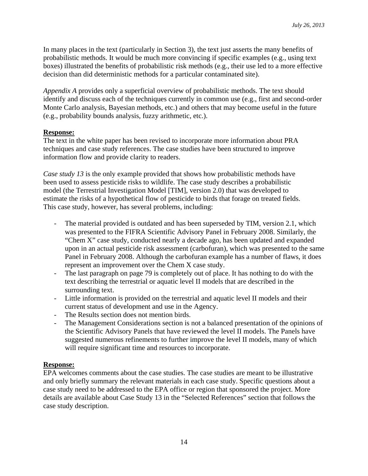In many places in the text (particularly in Section 3), the text just asserts the many benefits of probabilistic methods. It would be much more convincing if specific examples (e.g., using text boxes) illustrated the benefits of probabilistic risk methods (e.g., their use led to a more effective decision than did deterministic methods for a particular contaminated site).

*Appendix A* provides only a superficial overview of probabilistic methods. The text should identify and discuss each of the techniques currently in common use (e.g., first and second-order Monte Carlo analysis, Bayesian methods, etc.) and others that may become useful in the future (e.g., probability bounds analysis, fuzzy arithmetic, etc.).

### **Response:**

The text in the white paper has been revised to incorporate more information about PRA techniques and case study references. The case studies have been structured to improve information flow and provide clarity to readers.

*Case study 13* is the only example provided that shows how probabilistic methods have been used to assess pesticide risks to wildlife. The case study describes a probabilistic model (the Terrestrial Investigation Model [TIM], version 2.0) that was developed to estimate the risks of a hypothetical flow of pesticide to birds that forage on treated fields. This case study, however, has several problems, including:

- The material provided is outdated and has been superseded by TIM, version 2.1, which was presented to the FIFRA Scientific Advisory Panel in February 2008. Similarly, the "Chem X" case study, conducted nearly a decade ago, has been updated and expanded upon in an actual pesticide risk assessment (carbofuran), which was presented to the same Panel in February 2008. Although the carbofuran example has a number of flaws, it does represent an improvement over the Chem X case study.
- The last paragraph on page 79 is completely out of place. It has nothing to do with the text describing the terrestrial or aquatic level II models that are described in the surrounding text.
- Little information is provided on the terrestrial and aquatic level II models and their current status of development and use in the Agency.
- The Results section does not mention birds.
- The Management Considerations section is not a balanced presentation of the opinions of the Scientific Advisory Panels that have reviewed the level II models. The Panels have suggested numerous refinements to further improve the level II models, many of which will require significant time and resources to incorporate.

### **Response:**

EPA welcomes comments about the case studies. The case studies are meant to be illustrative and only briefly summary the relevant materials in each case study. Specific questions about a case study need to be addressed to the EPA office or region that sponsored the project. More details are available about Case Study 13 in the "Selected References" section that follows the case study description.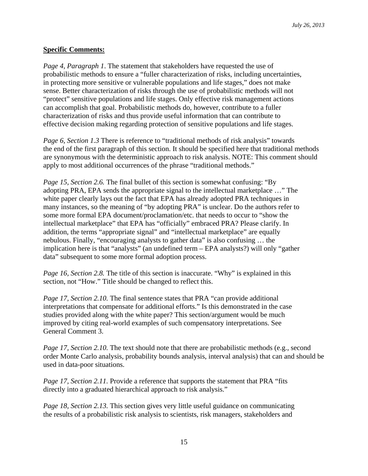## **Specific Comments:**

*Page 4, Paragraph 1*. The statement that stakeholders have requested the use of probabilistic methods to ensure a "fuller characterization of risks, including uncertainties, in protecting more sensitive or vulnerable populations and life stages," does not make sense. Better characterization of risks through the use of probabilistic methods will not "protect" sensitive populations and life stages. Only effective risk management actions can accomplish that goal. Probabilistic methods do, however, contribute to a fuller characterization of risks and thus provide useful information that can contribute to effective decision making regarding protection of sensitive populations and life stages.

*Page 6, Section 1.3* There is reference to "traditional methods of risk analysis" towards the end of the first paragraph of this section. It should be specified here that traditional methods are synonymous with the deterministic approach to risk analysis. NOTE: This comment should apply to most additional occurrences of the phrase "traditional methods."

*Page 15, Section 2.6.* The final bullet of this section is somewhat confusing: "By adopting PRA, EPA sends the appropriate signal to the intellectual marketplace …" The white paper clearly lays out the fact that EPA has already adopted PRA techniques in many instances, so the meaning of "by adopting PRA" is unclear. Do the authors refer to some more formal EPA document/proclamation/etc. that needs to occur to "show the intellectual marketplace" that EPA has "officially" embraced PRA? Please clarify. In addition, the terms "appropriate signal" and "intellectual marketplace" are equally nebulous. Finally, "encouraging analysts to gather data" is also confusing … the implication here is that "analysts" (an undefined term – EPA analysts?) will only "gather data" subsequent to some more formal adoption process.

*Page 16, Section 2.8.* The title of this section is inaccurate. "Why" is explained in this section, not "How." Title should be changed to reflect this.

*Page 17, Section 2.10.* The final sentence states that PRA "can provide additional interpretations that compensate for additional efforts." Is this demonstrated in the case studies provided along with the white paper? This section/argument would be much improved by citing real-world examples of such compensatory interpretations. See General Comment 3.

*Page 17, Section 2.10.* The text should note that there are probabilistic methods (e.g., second order Monte Carlo analysis, probability bounds analysis, interval analysis) that can and should be used in data-poor situations.

*Page 17, Section 2.11.* Provide a reference that supports the statement that PRA "fits" directly into a graduated hierarchical approach to risk analysis."

*Page 18, Section 2.13.* This section gives very little useful guidance on communicating the results of a probabilistic risk analysis to scientists, risk managers, stakeholders and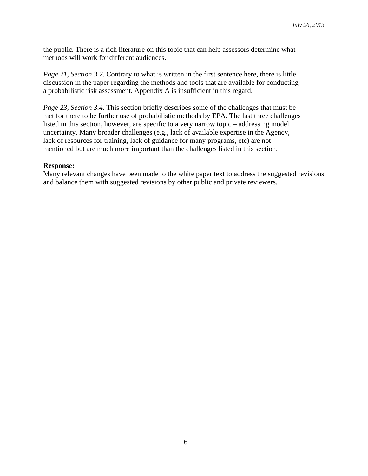the public. There is a rich literature on this topic that can help assessors determine what methods will work for different audiences.

*Page 21, Section 3.2.* Contrary to what is written in the first sentence here, there is little discussion in the paper regarding the methods and tools that are available for conducting a probabilistic risk assessment. Appendix A is insufficient in this regard.

*Page 23, Section 3.4.* This section briefly describes some of the challenges that must be met for there to be further use of probabilistic methods by EPA. The last three challenges listed in this section, however, are specific to a very narrow topic – addressing model uncertainty. Many broader challenges (e.g., lack of available expertise in the Agency, lack of resources for training, lack of guidance for many programs, etc) are not mentioned but are much more important than the challenges listed in this section.

### **Response:**

Many relevant changes have been made to the white paper text to address the suggested revisions and balance them with suggested revisions by other public and private reviewers.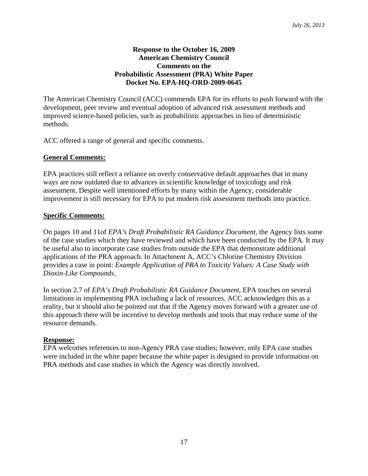### **Response to the October 16, 2009 American Chemistry Council Comments on the Probabilistic Assessment (PRA) White Paper Docket No. EPA-HQ-ORD-2009-0645**

The American Chemistry Council (ACC) commends EPA for its efforts to push forward with the development, peer review and eventual adoption of advanced risk assessment methods and improved science-based policies, such as probabilistic approaches in lieu of deterministic methods.

ACC offered a range of general and specific comments.

### **General Comments:**

EPA practices still reflect a reliance on overly conservative default approaches that in many ways are now outdated due to advances in scientific knowledge of toxicology and risk assessment. Despite well intentioned efforts by many within the Agency, considerable improvement is still necessary for EPA to put modern risk assessment methods into practice.

### **Specific Comments:**

On pages 10 and 11of *EPA's Draft Probabilistic RA Guidance Document*, the Agency lists some of the case studies which they have reviewed and which have been conducted by the EPA. It may be useful also to incorporate case studies from outside the EPA that demonstrate additional applications of the PRA approach. In Attachment A, ACC's Chlorine Chemistry Division provides a case in point: *Example Application of PRA to Toxicity Values: A Case Study with Dioxin-Like Compounds.* 

In section 2.7 of *EPA's Draft Probabilistic RA Guidance Document*, *EPA touches on several* limitations in implementing PRA including a lack of resources. ACC acknowledges this as a reality, but it should also be pointed out that if the Agency moves forward with a greater use of this approach there will be incentive to develop methods and tools that may reduce some of the resource demands.

### **Response:**

EPA welcomes references to non-Agency PRA case studies; however, only EPA case studies were included in the white paper because the white paper is designed to provide information on PRA methods and case studies in which the Agency was directly involved.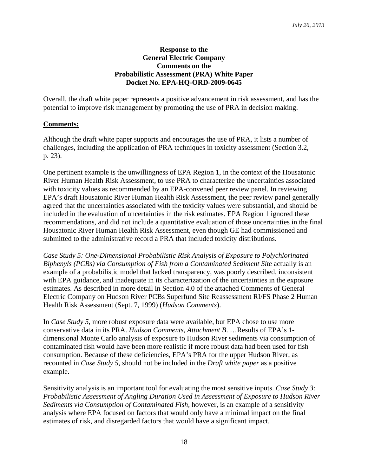### **Response to the General Electric Company Comments on the Probabilistic Assessment (PRA) White Paper Docket No. EPA-HQ-ORD-2009-0645**

Overall, the draft white paper represents a positive advancement in risk assessment, and has the potential to improve risk management by promoting the use of PRA in decision making.

### **Comments:**

Although the draft white paper supports and encourages the use of PRA, it lists a number of challenges, including the application of PRA techniques in toxicity assessment (Section 3.2, p. 23).

One pertinent example is the unwillingness of EPA Region 1, in the context of the Housatonic River Human Health Risk Assessment, to use PRA to characterize the uncertainties associated with toxicity values as recommended by an EPA-convened peer review panel. In reviewing EPA's draft Housatonic River Human Health Risk Assessment, the peer review panel generally agreed that the uncertainties associated with the toxicity values were substantial, and should be included in the evaluation of uncertainties in the risk estimates. EPA Region 1 ignored these recommendations, and did not include a quantitative evaluation of those uncertainties in the final Housatonic River Human Health Risk Assessment, even though GE had commissioned and submitted to the administrative record a PRA that included toxicity distributions.

*Case Study 5: One-Dimensional Probabilistic Risk Analysis of Exposure to Polychlorinated Biphenyls (PCBs) via Consumption of Fish from a Contaminated Sediment Site actually is an* example of a probabilistic model that lacked transparency, was poorly described, inconsistent with EPA guidance, and inadequate in its characterization of the uncertainties in the exposure estimates. As described in more detail in Section 4.0 of the attached Comments of General Electric Company on Hudson River PCBs Superfund Site Reassessment RI/FS Phase 2 Human Health Risk Assessment (Sept. 7, 1999) (*Hudson Comments*).

In *Case Study 5*, more robust exposure data were available, but EPA chose to use more conservative data in its PRA. *Hudson Comments*, *Attachment B*. …Results of EPA's 1 dimensional Monte Carlo analysis of exposure to Hudson River sediments via consumption of contaminated fish would have been more realistic if more robust data had been used for fish consumption. Because of these deficiencies, EPA's PRA for the upper Hudson River, as recounted in *Case Study 5*, should not be included in the *Draft white paper* as a positive example.

Sensitivity analysis is an important tool for evaluating the most sensitive inputs. *Case Study 3: Probabilistic Assessment of Angling Duration Used in Assessment of Exposure to Hudson River Sediments via Consumption of Contaminated Fish,* however*,* is an example of a sensitivity analysis where EPA focused on factors that would only have a minimal impact on the final estimates of risk, and disregarded factors that would have a significant impact.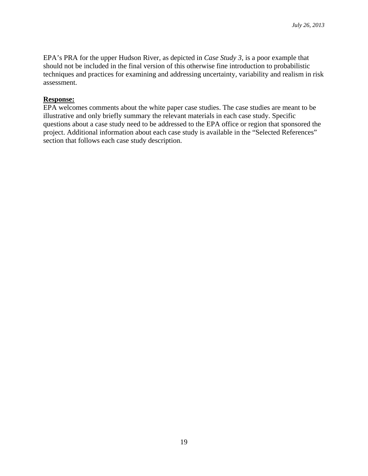EPA's PRA for the upper Hudson River, as depicted in *Case Study 3,* is a poor example that should not be included in the final version of this otherwise fine introduction to probabilistic techniques and practices for examining and addressing uncertainty, variability and realism in risk assessment.

### **Response:**

EPA welcomes comments about the white paper case studies. The case studies are meant to be illustrative and only briefly summary the relevant materials in each case study. Specific questions about a case study need to be addressed to the EPA office or region that sponsored the project. Additional information about each case study is available in the "Selected References" section that follows each case study description.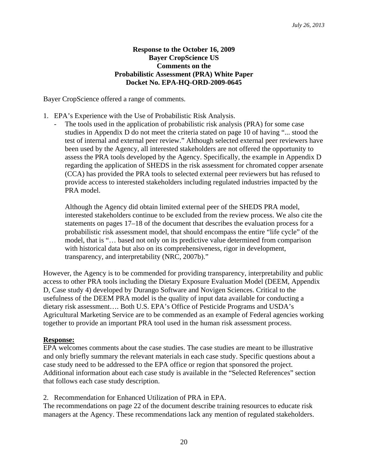### **Response to the October 16, 2009 Bayer CropScience US Comments on the Probabilistic Assessment (PRA) White Paper Docket No. EPA-HQ-ORD-2009-0645**

Bayer CropScience offered a range of comments.

- 1. EPA's Experience with the Use of Probabilistic Risk Analysis.
	- The tools used in the application of probabilistic risk analysis (PRA) for some case studies in Appendix D do not meet the criteria stated on page 10 of having "... stood the test of internal and external peer review." Although selected external peer reviewers have been used by the Agency, all interested stakeholders are not offered the opportunity to assess the PRA tools developed by the Agency. Specifically, the example in Appendix D regarding the application of SHEDS in the risk assessment for chromated copper arsenate (CCA) has provided the PRA tools to selected external peer reviewers but has refused to provide access to interested stakeholders including regulated industries impacted by the PRA model.

Although the Agency did obtain limited external peer of the SHEDS PRA model, interested stakeholders continue to be excluded from the review process. We also cite the statements on pages 17–18 of the document that describes the evaluation process for a probabilistic risk assessment model, that should encompass the entire "life cycle" of the model, that is "… based not only on its predictive value determined from comparison with historical data but also on its comprehensiveness, rigor in development, transparency, and interpretability (NRC, 2007b)."

However, the Agency is to be commended for providing transparency, interpretability and public access to other PRA tools including the Dietary Exposure Evaluation Model (DEEM, Appendix D, Case study 4) developed by Durango Software and Novigen Sciences. Critical to the usefulness of the DEEM PRA model is the quality of input data available for conducting a dietary risk assessment…. Both U.S. EPA's Office of Pesticide Programs and USDA's Agricultural Marketing Service are to be commended as an example of Federal agencies working together to provide an important PRA tool used in the human risk assessment process.

# **Response:**

EPA welcomes comments about the case studies. The case studies are meant to be illustrative and only briefly summary the relevant materials in each case study. Specific questions about a case study need to be addressed to the EPA office or region that sponsored the project. Additional information about each case study is available in the "Selected References" section that follows each case study description.

2. Recommendation for Enhanced Utilization of PRA in EPA.

The recommendations on page 22 of the document describe training resources to educate risk managers at the Agency. These recommendations lack any mention of regulated stakeholders.